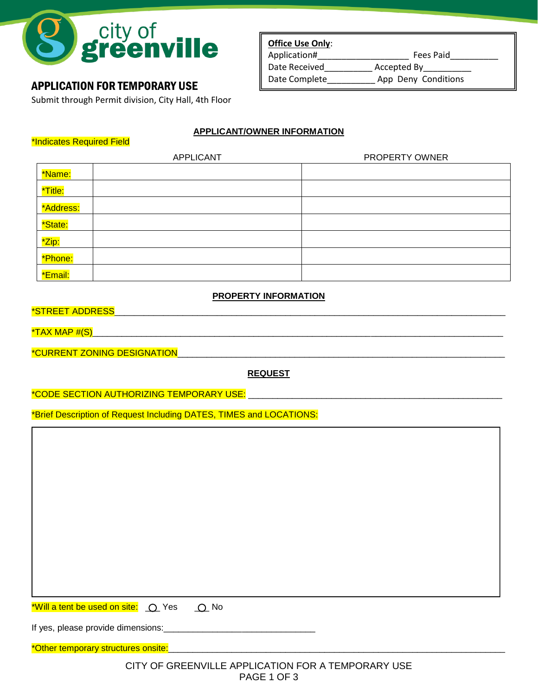

# APPLICATION FOR TEMPORARY USE **Date Complete**

Submit through Permit division, City Hall, 4th Floor

# **APPLICANT/OWNER INFORMATION**

**Office Use Only**:

Application#\_\_\_\_\_\_\_\_\_\_\_\_\_\_\_\_\_\_\_ Fees Paid\_\_\_\_\_\_\_\_\_\_

Date Received\_\_\_\_\_\_\_\_\_\_\_\_\_ Accepted By\_\_\_\_\_\_\_\_\_\_\_

\_ App Deny Conditions

|                    | <b>APPLICANT</b> | PROPERTY OWNER |
|--------------------|------------------|----------------|
| *Name:             |                  |                |
| *Title:            |                  |                |
| *Address:          |                  |                |
| *State:            |                  |                |
| <mark>*Zip:</mark> |                  |                |
| *Phone:            |                  |                |
| *Email:            |                  |                |

# **PROPERTY INFORMATION**

#### \*STREET ADDRESS\_\_\_\_\_\_\_\_\_\_\_\_\_\_\_\_\_\_\_\_\_\_\_\_\_\_\_\_\_\_\_\_\_\_\_\_\_\_\_\_\_\_\_\_\_\_\_\_\_\_\_\_\_\_\_\_\_\_\_\_\_\_\_\_\_\_\_\_\_\_\_\_\_\_\_\_\_\_\_\_

\*Indicates Required Field

\*TAX MAP #(S)\_\_\_\_\_\_\_\_\_\_\_\_\_\_\_\_\_\_\_\_\_\_\_\_\_\_\_\_\_\_\_\_\_\_\_\_\_\_\_\_\_\_\_\_\_\_\_\_\_\_\_\_\_\_\_\_\_\_\_\_\_\_\_\_\_\_\_\_\_\_\_\_\_\_\_\_\_\_\_\_\_\_\_\_

\*CURRENT ZONING DESIGNATION\_\_\_\_\_\_\_\_\_\_\_\_\_\_\_\_\_\_\_\_\_\_\_\_\_\_\_\_\_\_\_\_\_\_\_\_\_\_\_\_\_\_\_\_\_\_\_\_\_\_\_\_\_\_\_\_\_\_\_\_\_\_\_\_\_\_\_

**REQUEST** 

# \*CODE SECTION AUTHORIZING TEMPORARY USE: \_\_\_\_\_\_\_\_\_\_\_\_\_\_\_\_\_\_\_\_\_\_\_\_\_\_\_\_\_\_\_\_\_\_\_\_\_\_\_\_\_\_\_\_\_\_\_\_\_\_\_\_

\*Brief Description of Request Including DATES, TIMES and LOCATIONS:

\*Will a tent be used on site:  $\bigcirc$  Yes  $\bigcirc$  No

If yes, please provide dimensions:

\*Other temporary structures onsite:

 CITY OF GREENVILLE APPLICATION FOR A TEMPORARY USE PAGE 1 OF 3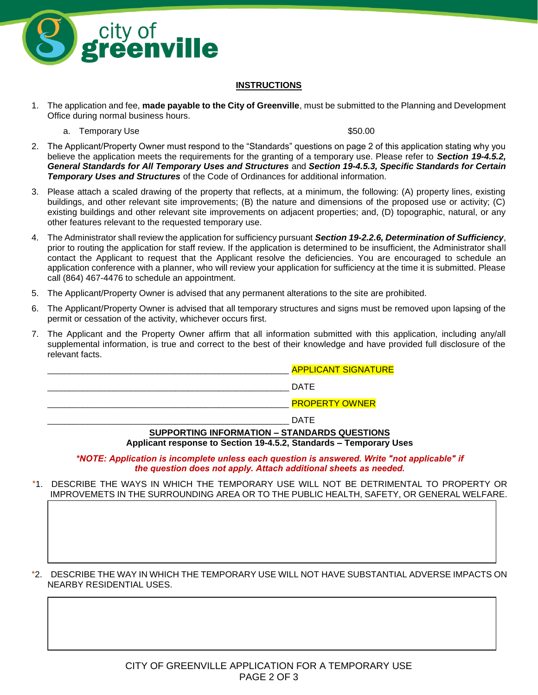

# **INSTRUCTIONS**

- 1. The application and fee, **made payable to the City of Greenville**, must be submitted to the Planning and Development Office during normal business hours.
	- a. Temporary Use  $$50.00$

- 2. The Applicant/Property Owner must respond to the "Standards" questions on page 2 of this application stating why you believe the application meets the requirements for the granting of a temporary use. Please refer to *Section 19-4.5.2, General Standards for All Temporary Uses and Structures* and *Section 19-4.5.3, Specific Standards for Certain Temporary Uses and Structures* of the Code of Ordinances for additional information.
- 3. Please attach a scaled drawing of the property that reflects, at a minimum, the following: (A) property lines, existing buildings, and other relevant site improvements; (B) the nature and dimensions of the proposed use or activity; (C) existing buildings and other relevant site improvements on adjacent properties; and, (D) topographic, natural, or any other features relevant to the requested temporary use.
- 4. The Administrator shall review the application for sufficiency pursuant *Section 19-2.2.6, Determination of Sufficiency*, prior to routing the application for staff review. If the application is determined to be insufficient, the Administrator shall application conference with a planner, who will review your application for sufficiency at the time it is submitted. Please contact the Applicant to request that the Applicant resolve the deficiencies. You are encouraged to schedule an call (864) 467-4476 to schedule an appointment.
- 5. The Applicant/Property Owner is advised that any permanent alterations to the site are prohibited.
- 6. The Applicant/Property Owner is advised that all temporary structures and signs must be removed upon lapsing of the permit or cessation of the activity, whichever occurs first.
- 7. The Applicant and the Property Owner affirm that all information submitted with this application, including any/all supplemental information, is true and correct to the best of their knowledge and have provided full disclosure of the relevant facts.

| <b>APPLICANT SIGNATURE</b> |
|----------------------------|
| DATE                       |
| <b>PROPERTY OWNER</b>      |
| <b>DATE</b>                |

# **SUPPORTING INFORMATION – STANDARDS QUESTIONS Applicant response to Section 19-4.5.2, Standards – Temporary Uses**

*\*NOTE: Application is incomplete unless each question is answered. Write "not applicable" if the question does not apply. Attach additional sheets as needed.*

\*1. DESCRIBE THE WAYS IN WHICH THE TEMPORARY USE WILL NOT BE DETRIMENTAL TO PROPERTY OR IMPROVEMETS IN THE SURROUNDING AREA OR TO THE PUBLIC HEALTH, SAFETY, OR GENERAL WELFARE.

\*2. DESCRIBE THE WAY IN WHICH THE TEMPORARY USE WILL NOT HAVE SUBSTANTIAL ADVERSE IMPACTS ON NEARBY RESIDENTIAL USES.